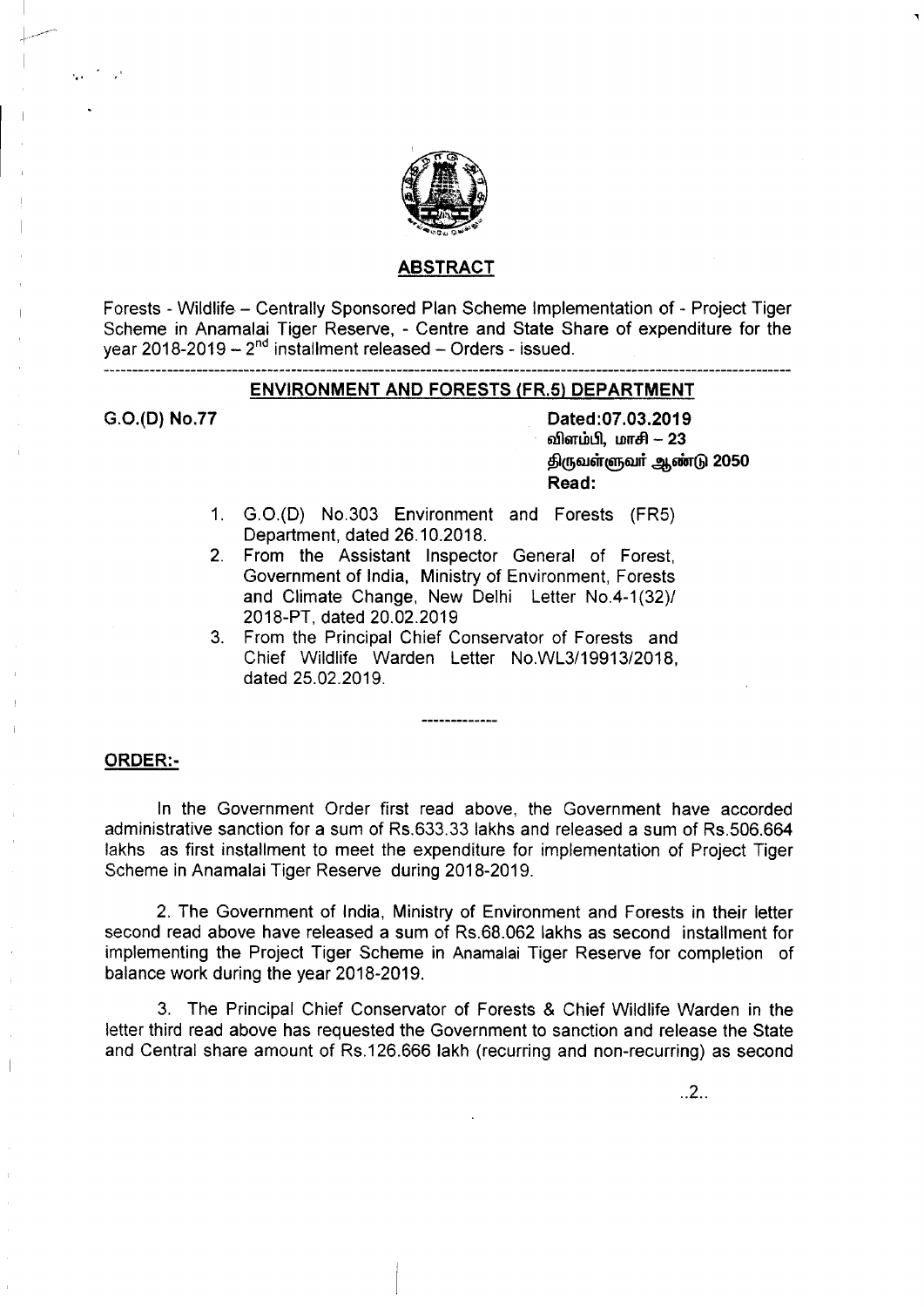

#### ABSTRACT

Forests - Wildlife - Centrally Sponsored Plan Scheme Implementation of - Project Tiger Scheme in Anamalai Tiger Reserve, - Centre and State Share of expenditure for the year 2018-2019  $- 2<sup>nd</sup>$  installment released  $-$  Orders - issued.

# ENVIRONMENT AND FORESTS (FR.S) DEPARTMENT

G.O.(D) No.77

'.'

Dated:07.03.2019 விளம்பி, மாசி - 23  $\epsilon$ டுமுவள்ளுவர் ஆண்டு 2050 Read:

- 1. G.O.(D) NO.303 Environment and Forests (FR5) Department, dated 26.10.2018.
- 2. From the Assistant Inspector General of Forest, Government of India, Ministry of Environment, Forests and Climate Change, New Delhi Letter No.4-1(32)/ 2018-PT, dated 20.02.2019
- 3. From the Principal Chief Conservator of Forests and Chief Wildlife Warden letter NO.Wl3/19913/2018, dated 25.02.2019.

#### ORDER:-

In the Government Order first read above, the Government have accorded administrative sanction for a sum of RS.633.33 lakhs and released a sum of RS.506.664 lakhs as first installment to meet the expenditure for implementation of Project Tiger Scheme in Anamalai Tiger Reserve during 2018-2019.

2. The Government of India, Ministry of Environment and Forests in their letter second read above have released a sum of RS.68.062 lakhs as second installment for implementing the Project Tiger Scheme in Anamalai Tiger Reserve for completion of balance work during the year 2018-2019.

3. The Principal Chief Conservator of Forests & Chief Wildlife Warden in the letter third read above has requested the Government to sanction and release the State and Central share amount of Rs.126.666 lakh (recurring and non-recurring) as second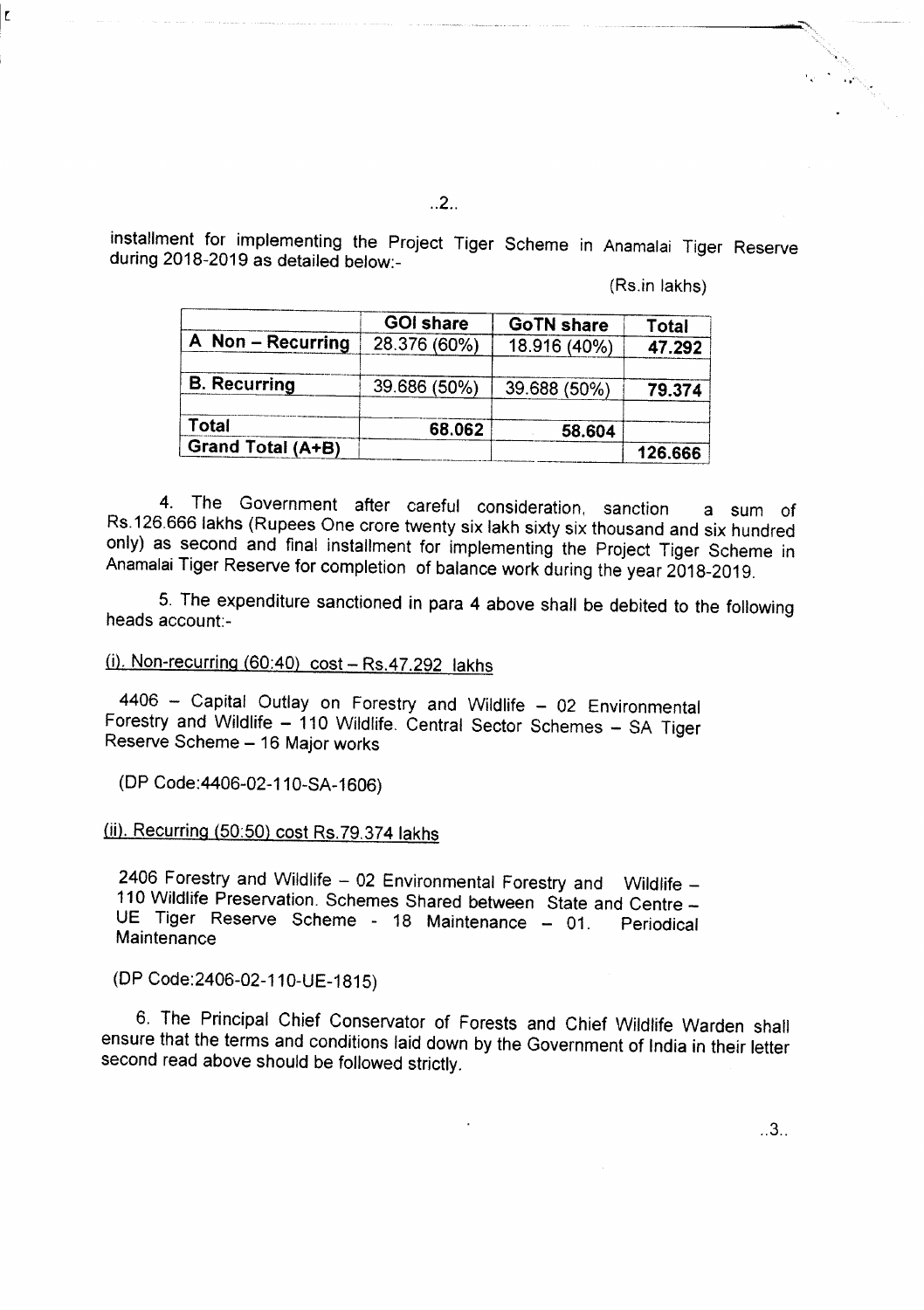..2..

installment for implementing the Project Tiger Scheme in Anamalai Tiger Reserve during 2018-2019 as detailed below:-

(Rs.in lakhs)

|                     | <b>GOI share</b> | <b>GoTN share</b> | <b>Total</b> |
|---------------------|------------------|-------------------|--------------|
| A Non - Recurring   | 28.376 (60%)     | 18.916 (40%)      | 47.292       |
| <b>B.</b> Recurring | 39.686 (50%)     | 39.688 (50%)      | 79.374       |
| Total               | 68.062           | 58.604            |              |
| Grand Total (A+B)   |                  |                   | 126.666      |

4. The Government after careful consideration, sanction a sum of Rs.126.666 lakhs (Rupees One crore twenty six lakh sixty six thousand and six hundred only) as second and final installment for implementing the Project Tiger Scheme in Anamalai Tiger Reserve for completion of balance work during the year 2018-2019.

5. The expenditure sanctioned in para 4 above shall be debited to the following heads account-

# $(i)$ . Non-recurring  $(60:40)$  cost  $-$  Rs.47.292 lakhs

4406 - Capital Outlay on Forestry and Wildlife - 02 Environmental Forestry and Wildlife - 110 Wildlife. Central Sector Schemes - SA Tiger Reserve Scheme - 16 Major works

(DP Code:4406-02-110-SA-1606)

# (ii). Recurring (50:50) cost RS.79.374 lakhs

2406 Forestry and Wildlife  $-02$  Environmental Forestry and Wildlife  $-$ 110 Wildlife Preservation. Schemes Shared between State and Centre \_ UE Tiger Reserve Scheme - 18 Maintenance - 01. Periodical **Maintenance** 

(DP Code:2406-02-110-UE-1815)

6. The Principal Chief Conservator of Forests and Chief Wildlife Warden shall ensure that the terms and conditions laid down by the Government of India in their letter second read above should be followed strictly.

..3..